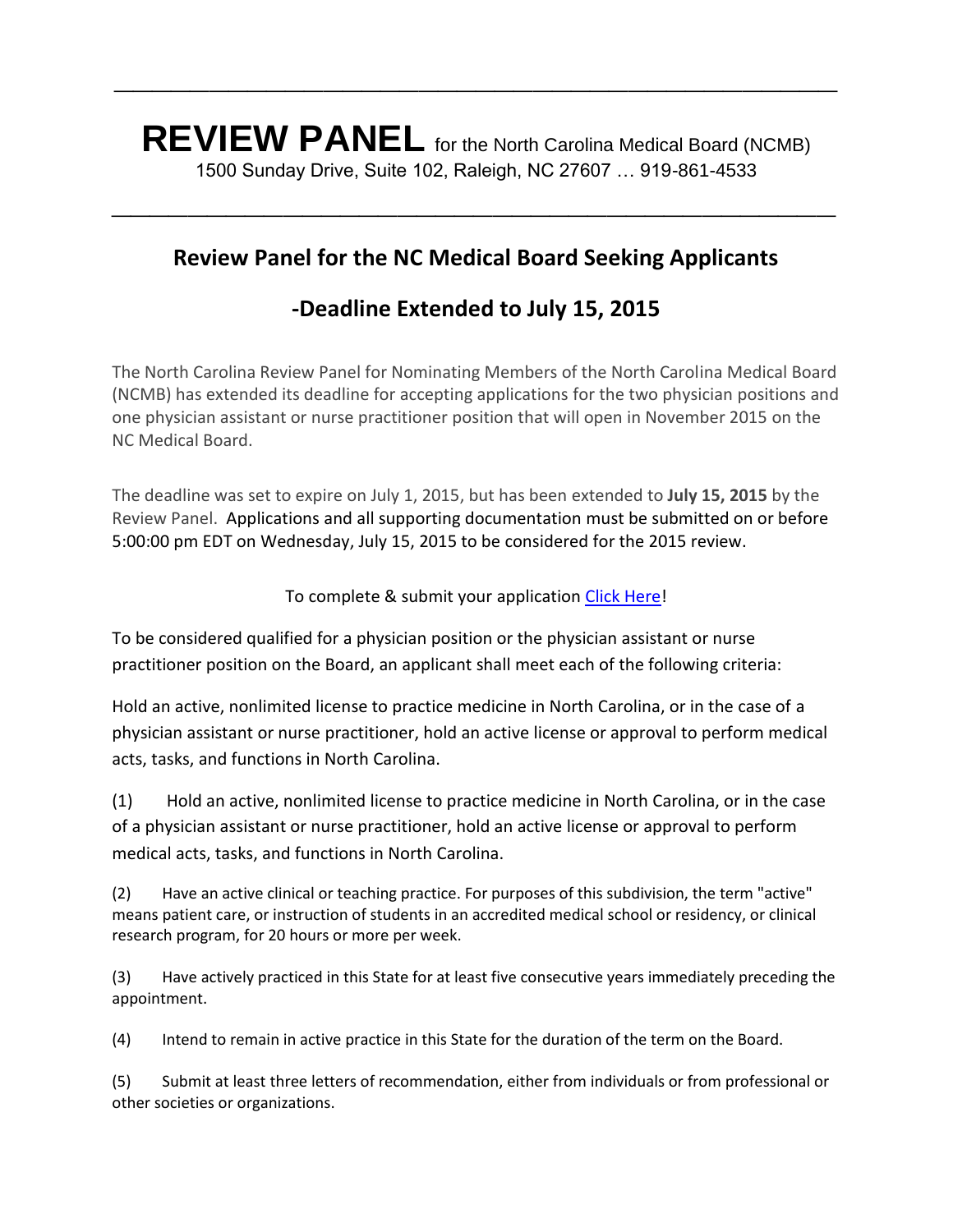**REVIEW PANEL** for the North Carolina Medical Board (NCMB) 1500 Sunday Drive, Suite 102, Raleigh, NC 27607 … 919-861-4533

**\_\_\_\_\_\_\_\_\_\_\_\_\_\_\_\_\_\_\_\_\_\_\_\_\_\_\_\_\_\_\_\_\_\_\_\_\_\_**

## **Review Panel for the NC Medical Board Seeking Applicants**

**\_\_\_\_\_\_\_\_\_\_\_\_\_\_\_\_\_\_\_\_\_\_\_\_\_\_\_\_\_\_\_\_\_\_\_\_\_\_**

## **-Deadline Extended to July 15, 2015**

The North Carolina Review Panel for Nominating Members of the North Carolina Medical Board (NCMB) has extended its deadline for accepting applications for the two physician positions and one physician assistant or nurse practitioner position that will open in November 2015 on the NC Medical Board.

The deadline was set to expire on July 1, 2015, but has been extended to **July 15, 2015** by the Review Panel. Applications and all supporting documentation must be submitted on or before 5:00:00 pm EDT on Wednesday, July 15, 2015 to be considered for the 2015 review.

To complete & submit your application [Click Here!](http://www.ncmedboardreviewpanel.com/application/)

To be considered qualified for a physician position or the physician assistant or nurse practitioner position on the Board, an applicant shall meet each of the following criteria:

Hold an active, nonlimited license to practice medicine in North Carolina, or in the case of a physician assistant or nurse practitioner, hold an active license or approval to perform medical acts, tasks, and functions in North Carolina.

(1) Hold an active, nonlimited license to practice medicine in North Carolina, or in the case of a physician assistant or nurse practitioner, hold an active license or approval to perform medical acts, tasks, and functions in North Carolina.

(2) Have an active clinical or teaching practice. For purposes of this subdivision, the term "active" means patient care, or instruction of students in an accredited medical school or residency, or clinical research program, for 20 hours or more per week.

(3) Have actively practiced in this State for at least five consecutive years immediately preceding the appointment.

(4) Intend to remain in active practice in this State for the duration of the term on the Board.

(5) Submit at least three letters of recommendation, either from individuals or from professional or other societies or organizations.